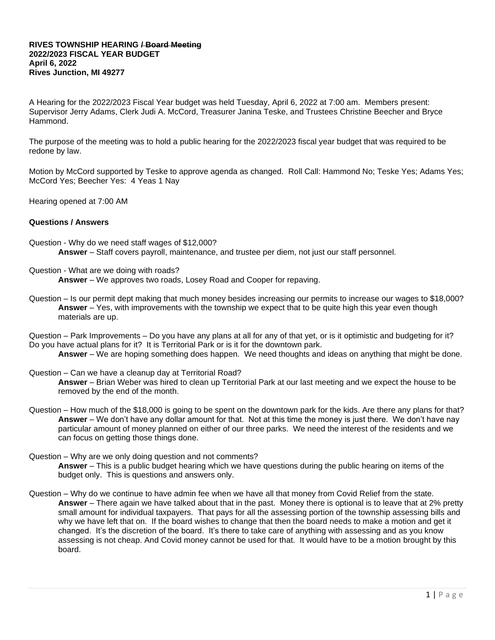## **RIVES TOWNSHIP HEARING / Board Meeting 2022/2023 FISCAL YEAR BUDGET April 6, 2022 Rives Junction, MI 49277**

A Hearing for the 2022/2023 Fiscal Year budget was held Tuesday, April 6, 2022 at 7:00 am. Members present: Supervisor Jerry Adams, Clerk Judi A. McCord, Treasurer Janina Teske, and Trustees Christine Beecher and Bryce Hammond.

The purpose of the meeting was to hold a public hearing for the 2022/2023 fiscal year budget that was required to be redone by law.

Motion by McCord supported by Teske to approve agenda as changed. Roll Call: Hammond No; Teske Yes; Adams Yes; McCord Yes; Beecher Yes: 4 Yeas 1 Nay

Hearing opened at 7:00 AM

## **Questions / Answers**

- Question Why do we need staff wages of \$12,000? **Answer** – Staff covers payroll, maintenance, and trustee per diem, not just our staff personnel.
- Question What are we doing with roads?

**Answer** – We approves two roads, Losey Road and Cooper for repaving.

Question – Is our permit dept making that much money besides increasing our permits to increase our wages to \$18,000? **Answer** – Yes, with improvements with the township we expect that to be quite high this year even though materials are up.

Question – Park Improvements – Do you have any plans at all for any of that yet, or is it optimistic and budgeting for it? Do you have actual plans for it? It is Territorial Park or is it for the downtown park.

- **Answer** We are hoping something does happen. We need thoughts and ideas on anything that might be done.
- Question Can we have a cleanup day at Territorial Road?

**Answer** – Brian Weber was hired to clean up Territorial Park at our last meeting and we expect the house to be removed by the end of the month.

- Question How much of the \$18,000 is going to be spent on the downtown park for the kids. Are there any plans for that? **Answer** – We don't have any dollar amount for that. Not at this time the money is just there. We don't have nay particular amount of money planned on either of our three parks. We need the interest of the residents and we can focus on getting those things done.
- Question Why are we only doing question and not comments? **Answer** – This is a public budget hearing which we have questions during the public hearing on items of the budget only. This is questions and answers only.
- Question Why do we continue to have admin fee when we have all that money from Covid Relief from the state. **Answer** – There again we have talked about that in the past. Money there is optional is to leave that at 2% pretty small amount for individual taxpayers. That pays for all the assessing portion of the township assessing bills and why we have left that on. If the board wishes to change that then the board needs to make a motion and get it changed. It's the discretion of the board. It's there to take care of anything with assessing and as you know assessing is not cheap. And Covid money cannot be used for that. It would have to be a motion brought by this board.